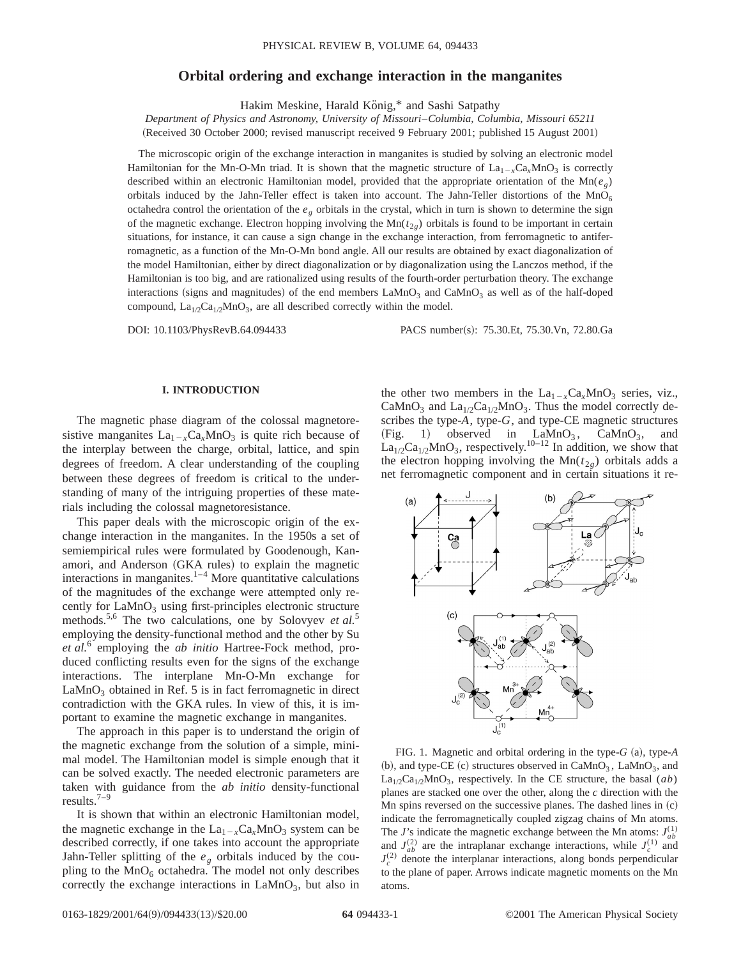# **Orbital ordering and exchange interaction in the manganites**

Hakim Meskine, Harald König,\* and Sashi Satpathy

*Department of Physics and Astronomy, University of Missouri*–*Columbia, Columbia, Missouri 65211* (Received 30 October 2000; revised manuscript received 9 February 2001; published 15 August 2001)

The microscopic origin of the exchange interaction in manganites is studied by solving an electronic model Hamiltonian for the Mn-O-Mn triad. It is shown that the magnetic structure of  $La_{1-x}Ca_xMnO_3$  is correctly described within an electronic Hamiltonian model, provided that the appropriate orientation of the  $Mn(e<sub>g</sub>)$ orbitals induced by the Jahn-Teller effect is taken into account. The Jahn-Teller distortions of the  $MnO<sub>6</sub>$ octahedra control the orientation of the *eg* orbitals in the crystal, which in turn is shown to determine the sign of the magnetic exchange. Electron hopping involving the  $Mn(t_{2g})$  orbitals is found to be important in certain situations, for instance, it can cause a sign change in the exchange interaction, from ferromagnetic to antiferromagnetic, as a function of the Mn-O-Mn bond angle. All our results are obtained by exact diagonalization of the model Hamiltonian, either by direct diagonalization or by diagonalization using the Lanczos method, if the Hamiltonian is too big, and are rationalized using results of the fourth-order perturbation theory. The exchange interactions (signs and magnitudes) of the end members  $LaMnO<sub>3</sub>$  and  $CaMnO<sub>3</sub>$  as well as of the half-doped compound,  $La<sub>1/2</sub>Ca<sub>1/2</sub>MnO<sub>3</sub>$ , are all described correctly within the model.

DOI: 10.1103/PhysRevB.64.094433 PACS number(s): 75.30.Et, 75.30.Vn, 72.80.Ga

# **I. INTRODUCTION**

The magnetic phase diagram of the colossal magnetoresistive manganites  $La_{1-x}Ca_xMnO_3$  is quite rich because of the interplay between the charge, orbital, lattice, and spin degrees of freedom. A clear understanding of the coupling between these degrees of freedom is critical to the understanding of many of the intriguing properties of these materials including the colossal magnetoresistance.

This paper deals with the microscopic origin of the exchange interaction in the manganites. In the 1950s a set of semiempirical rules were formulated by Goodenough, Kanamori, and Anderson (GKA rules) to explain the magnetic interactions in manganites. $\frac{1-4}{1}$  More quantitative calculations of the magnitudes of the exchange were attempted only recently for  $LaMnO<sub>3</sub>$  using first-principles electronic structure methods.5,6 The two calculations, one by Solovyev *et al.*<sup>5</sup> employing the density-functional method and the other by Su *et al.*<sup>6</sup> employing the *ab initio* Hartree-Fock method, produced conflicting results even for the signs of the exchange interactions. The interplane Mn-O-Mn exchange for  $LaMnO<sub>3</sub> obtained in Ref. 5 is in fact ferromagnetic in direct$ contradiction with the GKA rules. In view of this, it is important to examine the magnetic exchange in manganites.

The approach in this paper is to understand the origin of the magnetic exchange from the solution of a simple, minimal model. The Hamiltonian model is simple enough that it can be solved exactly. The needed electronic parameters are taken with guidance from the *ab initio* density-functional results. $7-9$ 

It is shown that within an electronic Hamiltonian model, the magnetic exchange in the  $La_{1-x}Ca_xMnO_3$  system can be described correctly, if one takes into account the appropriate Jahn-Teller splitting of the  $e_g$  orbitals induced by the coupling to the  $MnO_6$  octahedra. The model not only describes correctly the exchange interactions in  $\text{LaMnO}_3$ , but also in

the other two members in the  $La_{1-x}Ca_xMnO_3$  series, viz., CaMnO<sub>3</sub> and La<sub>1/2</sub>Ca<sub>1/2</sub>MnO<sub>3</sub>. Thus the model correctly describes the type-*A*, type-*G*, and type-CE magnetic structures  $(Fig. 1)$  observed in LaMnO<sub>3</sub>, CaMnO<sub>3</sub>, and  $\text{La}_{1/2}\text{Ca}_{1/2}\text{MnO}_3$ , respectively.<sup>10–12</sup> In addition, we show that the electron hopping involving the  $Mn(t_{2g})$  orbitals adds a net ferromagnetic component and in certain situations it re-



FIG. 1. Magnetic and orbital ordering in the type- $G$  (a), type- $A$ (b), and type-CE (c) structures observed in  $CaMnO<sub>3</sub>$ , LaMnO<sub>3</sub>, and  $La<sub>1/2</sub>Ca<sub>1/2</sub>MnO<sub>3</sub>$ , respectively. In the CE structure, the basal (*ab*) planes are stacked one over the other, along the *c* direction with the Mn spins reversed on the successive planes. The dashed lines in  $(c)$ indicate the ferromagnetically coupled zigzag chains of Mn atoms. The *J*'s indicate the magnetic exchange between the Mn atoms:  $J_{ab}^{(1)}$ and  $J_{ab}^{(2)}$  are the intraplanar exchange interactions, while  $J_c^{(1)}$  and  $J_c^{(2)}$  denote the interplanar interactions, along bonds perpendicular to the plane of paper. Arrows indicate magnetic moments on the Mn atoms.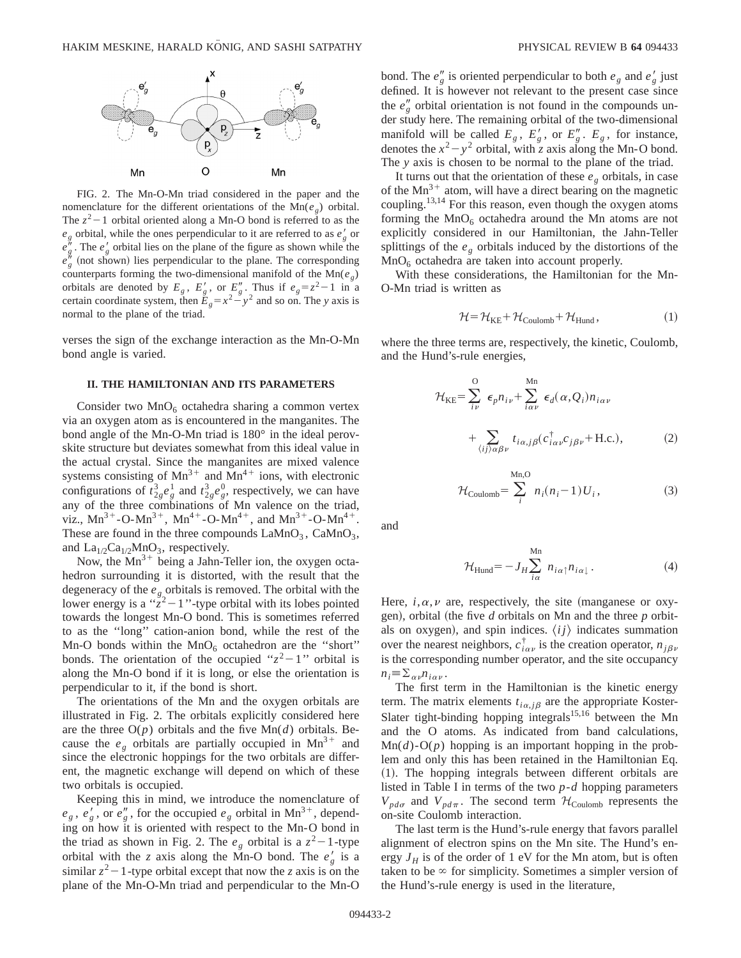

FIG. 2. The Mn-O-Mn triad considered in the paper and the nomenclature for the different orientations of the  $Mn(e_{\varphi})$  orbital. The  $z^2-1$  orbital oriented along a Mn-O bond is referred to as the  $e_g$  orbital, while the ones perpendicular to it are referred to as  $e'_g$  or  $e''_g$ . The  $e'_g$  orbital lies on the plane of the figure as shown while the  $e_{g}^{h}$  (not shown) lies perpendicular to the plane. The corresponding counterparts forming the two-dimensional manifold of the  $Mn(e<sub>g</sub>)$ orbitals are denoted by  $E_g$ ,  $E'_g$ , or  $E''_g$ . Thus if  $e_g = z^2 - 1$  in a certain coordinate system, then  $E_g = x^2 - y^2$  and so on. The *y* axis is normal to the plane of the triad.

verses the sign of the exchange interaction as the Mn-O-Mn bond angle is varied.

# **II. THE HAMILTONIAN AND ITS PARAMETERS**

Consider two  $MnO<sub>6</sub>$  octahedra sharing a common vertex via an oxygen atom as is encountered in the manganites. The bond angle of the Mn-O-Mn triad is 180° in the ideal perovskite structure but deviates somewhat from this ideal value in the actual crystal. Since the manganites are mixed valence systems consisting of  $Mn^{3+}$  and  $Mn^{4+}$  ions, with electronic configurations of  $t_{2g}^3 e_g^1$  and  $t_{2g}^3 e_g^0$ , respectively, we can have any of the three combinations of Mn valence on the triad, viz.,  $Mn^{3+}$ -O-Mn<sup>3+</sup>,  $Mn^{4+}$ -O-Mn<sup>4+</sup>, and  $Mn^{3+}$ -O-Mn<sup>4+</sup>. These are found in the three compounds  $\text{LaMnO}_3$ ,  $\text{CaMnO}_3$ , and  $La<sub>1/2</sub>Ca<sub>1/2</sub>MnO<sub>3</sub>$ , respectively.

Now, the  $Mn^{3+}$  being a Jahn-Teller ion, the oxygen octahedron surrounding it is distorted, with the result that the degeneracy of the  $e_g$  orbitals is removed. The orbital with the lower energy is a " $\tilde{z}^2$  – 1"-type orbital with its lobes pointed towards the longest Mn-O bond. This is sometimes referred to as the ''long'' cation-anion bond, while the rest of the Mn-O bonds within the  $MnO_6$  octahedron are the "short" bonds. The orientation of the occupied " $z^2-1$ " orbital is along the Mn-O bond if it is long, or else the orientation is perpendicular to it, if the bond is short.

The orientations of the Mn and the oxygen orbitals are illustrated in Fig. 2. The orbitals explicitly considered here are the three  $O(p)$  orbitals and the five  $Mn(d)$  orbitals. Because the  $e_g$  orbitals are partially occupied in Mn<sup>3+</sup> and since the electronic hoppings for the two orbitals are different, the magnetic exchange will depend on which of these two orbitals is occupied.

Keeping this in mind, we introduce the nomenclature of  $e_g$ ,  $e'_g$ , or  $e''_g$ , for the occupied  $e_g$  orbital in Mn<sup>3+</sup>, depending on how it is oriented with respect to the Mn-O bond in the triad as shown in Fig. 2. The  $e_g$  orbital is a  $z^2-1$ -type orbital with the *z* axis along the Mn-O bond. The  $e'_g$  is a similar  $z^2-1$ -type orbital except that now the *z* axis is on the plane of the Mn-O-Mn triad and perpendicular to the Mn-O

bond. The  $e''_g$  is oriented perpendicular to both  $e_g$  and  $e'_g$  just defined. It is however not relevant to the present case since the  $e''_g$  orbital orientation is not found in the compounds under study here. The remaining orbital of the two-dimensional manifold will be called  $E_g$ ,  $E'_g$ , or  $E''_g$ .  $E_g$ , for instance, denotes the  $x^2 - y^2$  orbital, with *z* axis along the Mn-O bond. The *y* axis is chosen to be normal to the plane of the triad.

It turns out that the orientation of these  $e_g$  orbitals, in case of the  $Mn^{3+}$  atom, will have a direct bearing on the magnetic coupling.<sup>13,14</sup> For this reason, even though the oxygen atoms forming the  $MnO<sub>6</sub>$  octahedra around the Mn atoms are not explicitly considered in our Hamiltonian, the Jahn-Teller splittings of the *eg* orbitals induced by the distortions of the  $MnO<sub>6</sub>$  octahedra are taken into account properly.

With these considerations, the Hamiltonian for the Mn-O-Mn triad is written as

$$
\mathcal{H} = \mathcal{H}_{KE} + \mathcal{H}_{Coulomb} + \mathcal{H}_{Hund},\tag{1}
$$

where the three terms are, respectively, the kinetic, Coulomb, and the Hund's-rule energies,

$$
\mathcal{H}_{KE} = \sum_{i\nu}^{O} \epsilon_{p} n_{i\nu} + \sum_{i\alpha\nu}^{Mn} \epsilon_{d}(\alpha, Q_{i}) n_{i\alpha\nu} + \sum_{\langle ij \rangle \alpha \beta \nu} t_{i\alpha,j\beta} (c_{i\alpha\nu}^{\dagger} c_{j\beta\nu} + \text{H.c.}), \tag{2}
$$

$$
\mathcal{H}_{\text{Coulomb}} = \sum_{i}^{\text{Mn},\text{O}} n_i (n_i - 1) U_i, \qquad (3)
$$

and

$$
\mathcal{H}_{\text{Hund}} = -J_H \sum_{i\alpha}^{\text{Mn}} n_{i\alpha\uparrow} n_{i\alpha\downarrow}.
$$
 (4)

Here,  $i, \alpha, \nu$  are, respectively, the site (manganese or oxygen), orbital (the five  $d$  orbitals on Mn and the three  $p$  orbitals on oxygen), and spin indices.  $\langle ij \rangle$  indicates summation over the nearest neighbors,  $c_{i\alpha\nu}^{\dagger}$  is the creation operator,  $n_{i\beta\nu}$ is the corresponding number operator, and the site occupancy  $n_i \equiv \sum_{\alpha\nu} n_{i\alpha\nu}$ .

The first term in the Hamiltonian is the kinetic energy term. The matrix elements  $t_{i\alpha, j\beta}$  are the appropriate Koster-Slater tight-binding hopping integrals<sup>15,16</sup> between the Mn and the O atoms. As indicated from band calculations,  $Mn(d)$ - $O(p)$  hopping is an important hopping in the problem and only this has been retained in the Hamiltonian Eq. ~1!. The hopping integrals between different orbitals are listed in Table I in terms of the two *p*-*d* hopping parameters  $V_{pd\sigma}$  and  $V_{pd\pi}$ . The second term  $\mathcal{H}_{\text{Coulomb}}$  represents the on-site Coulomb interaction.

The last term is the Hund's-rule energy that favors parallel alignment of electron spins on the Mn site. The Hund's energy  $J_H$  is of the order of 1 eV for the Mn atom, but is often taken to be  $\infty$  for simplicity. Sometimes a simpler version of the Hund's-rule energy is used in the literature,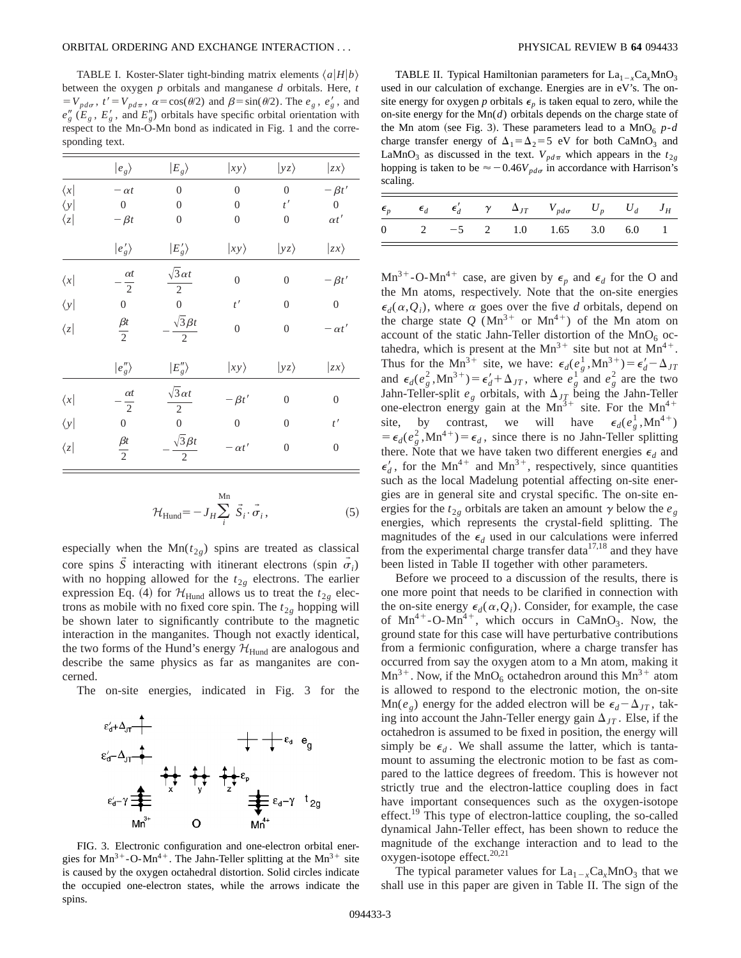TABLE I. Koster-Slater tight-binding matrix elements  $\langle a|H|b\rangle$ between the oxygen *p* orbitals and manganese *d* orbitals. Here, *t*  $= V_{pd\sigma}$ ,  $t' = V_{pd\pi}$ ,  $\alpha = \cos(\theta/2)$  and  $\beta = \sin(\theta/2)$ . The  $e_g$ ,  $e'_g$ , and  $e''_g$  ( $E_g$ ,  $E'_g$ , and  $E''_g$ ) orbitals have specific orbital orientation with respect to the Mn-O-Mn bond as indicated in Fig. 1 and the corresponding text.

|               | $ e_{g}\rangle$              | $ E_{g}\rangle$                       | $ xy\rangle$     | $ yz\rangle$     | $ zx\rangle$     |
|---------------|------------------------------|---------------------------------------|------------------|------------------|------------------|
| $\langle x $  | $-\alpha t$                  | $\overline{0}$                        | $\overline{0}$   | $\overline{0}$   | $-\beta t'$      |
| $\langle y  $ | $\boldsymbol{0}$             | $\overline{0}$                        | $\mathbf{0}$     | t'               | $\boldsymbol{0}$ |
| $\langle z $  | $-\beta t$                   | $\boldsymbol{0}$                      | $\boldsymbol{0}$ | $\mathbf{0}$     | $\alpha t'$      |
|               | $ e'_g\rangle$               | $ E'_g\rangle$                        | $ xy\rangle$     | $ yz\rangle$     | $ zx\rangle$     |
| $\langle x  $ | $\alpha t$<br>$\overline{2}$ | $\sqrt{3} \alpha t$<br>$\overline{2}$ | $\boldsymbol{0}$ | $\boldsymbol{0}$ | $-\beta t'$      |
| $\langle y  $ | $\boldsymbol{0}$             | $\boldsymbol{0}$                      | t'               | $\boldsymbol{0}$ | $\boldsymbol{0}$ |
| $\langle z $  | $\frac{\beta t}{2}$          | $\sqrt{3} \beta t$<br>$\overline{2}$  | $\boldsymbol{0}$ | $\boldsymbol{0}$ | $-\alpha t'$     |
|               | $ e''_g\rangle$              | $ E''_g\rangle$                       | $ xy\rangle$     | $ yz\rangle$     | $ zx\rangle$     |
| $\langle x  $ | $\alpha t$<br>$\overline{2}$ | $\sqrt{3} \alpha t$<br>$\overline{2}$ | $-\beta t'$      | $\boldsymbol{0}$ | $\boldsymbol{0}$ |
| $\langle y  $ | $\boldsymbol{0}$             | $\overline{0}$                        | $\boldsymbol{0}$ | $\overline{0}$   | t'               |
| $\langle z $  | $\frac{\beta t}{2}$          | $\sqrt{3}\beta t$<br>$\overline{2}$   | $-\alpha t'$     | $\boldsymbol{0}$ | $\boldsymbol{0}$ |

$$
\mathcal{H}_{\text{Hund}} = -J_H \sum_{i}^{\text{Mn}} \vec{S}_i \cdot \vec{\sigma}_i, \tag{5}
$$

especially when the  $Mn(t_{2g})$  spins are treated as classical core spins  $\overline{S}$  interacting with itinerant electrons (spin  $\overline{\sigma_i}$ ) with no hopping allowed for the  $t_{2g}$  electrons. The earlier expression Eq. (4) for  $\mathcal{H}_{\text{Hund}}$  allows us to treat the  $t_{2g}$  electrons as mobile with no fixed core spin. The  $t_{2g}$  hopping will be shown later to significantly contribute to the magnetic interaction in the manganites. Though not exactly identical, the two forms of the Hund's energy  $\mathcal{H}_{\text{Hund}}$  are analogous and describe the same physics as far as manganites are concerned.

The on-site energies, indicated in Fig. 3 for the



FIG. 3. Electronic configuration and one-electron orbital energies for  $Mn^{3+}$ -O-Mn<sup>4+</sup>. The Jahn-Teller splitting at the  $Mn^{3+}$  site is caused by the oxygen octahedral distortion. Solid circles indicate the occupied one-electron states, while the arrows indicate the spins.

TABLE II. Typical Hamiltonian parameters for  $La_{1-x}Ca_xMnO_3$ used in our calculation of exchange. Energies are in eV's. The onsite energy for oxygen *p* orbitals  $\epsilon_p$  is taken equal to zero, while the on-site energy for the Mn(*d*) orbitals depends on the charge state of the Mn atom (see Fig. 3). These parameters lead to a  $MnO_6$  *p-d* charge transfer energy of  $\Delta_1 = \Delta_2 = 5$  eV for both CaMnO<sub>3</sub> and LaMnO<sub>3</sub> as discussed in the text.  $V_{pd\pi}$  which appears in the  $t_{2g}$ hopping is taken to be  $\approx$  -0.46*V<sub>pda</sub>* in accordance with Harrison's scaling.

|  |  | $\epsilon_p$ $\epsilon_d$ $\epsilon_d'$ $\gamma$ $\Delta_{JT}$ $V_{pd\sigma}$ $U_p$ $U_d$ $J_H$ |  |  |
|--|--|-------------------------------------------------------------------------------------------------|--|--|
|  |  | 0 2 $-5$ 2 1.0 1.65 3.0 6.0 1                                                                   |  |  |

 $Mn^{3+}$ -O-Mn<sup>4+</sup> case, are given by  $\epsilon_p$  and  $\epsilon_d$  for the O and the Mn atoms, respectively. Note that the on-site energies  $\epsilon_d(\alpha, Q_i)$ , where  $\alpha$  goes over the five *d* orbitals, depend on the charge state Q ( $Mn^{3+}$  or  $Mn^{4+}$ ) of the Mn atom on account of the static Jahn-Teller distortion of the  $MnO<sub>6</sub>$  octahedra, which is present at the  $Mn^{3+}$  site but not at  $Mn^{4+}$ . Thus for the Mn<sup>3+</sup> site, we have:  $\epsilon_d(e_g^1, Mn^{3+}) = \epsilon_d' - \Delta_{JT}$ and  $\epsilon_d(e_g^2, Mn^{3+}) = \epsilon_d' + \Delta_{JT}$ , where  $e_g^1$  and  $e_g^2$  are the two Jahn-Teller-split  $e_g$  orbitals, with  $\Delta_{JT}$  being the Jahn-Teller one-electron energy gain at the  $Mn^{3+}$  site. For the  $Mn^{4+}$ site, by contrast, we will have  $\epsilon_d(e^1, \text{Mn}^{4+})$  $= \epsilon_d (e_g^2, Mn^{4+}) = \epsilon_d$ , since there is no Jahn-Teller splitting there. Note that we have taken two different energies  $\epsilon_d$  and  $\epsilon'_d$ , for the Mn<sup>4+</sup> and Mn<sup>3+</sup>, respectively, since quantities such as the local Madelung potential affecting on-site energies are in general site and crystal specific. The on-site energies for the  $t_{2g}$  orbitals are taken an amount  $\gamma$  below the  $e_g$ energies, which represents the crystal-field splitting. The magnitudes of the  $\epsilon_d$  used in our calculations were inferred from the experimental charge transfer data $17,18$  and they have been listed in Table II together with other parameters.

Before we proceed to a discussion of the results, there is one more point that needs to be clarified in connection with the on-site energy  $\epsilon_d(\alpha, Q_i)$ . Consider, for example, the case of  $Mn^{4+}$ -O-Mn<sup>4+</sup>, which occurs in CaMnO<sub>3</sub>. Now, the ground state for this case will have perturbative contributions from a fermionic configuration, where a charge transfer has occurred from say the oxygen atom to a Mn atom, making it  $Mn^{3+}$ . Now, if the MnO<sub>6</sub> octahedron around this  $Mn^{3+}$  atom is allowed to respond to the electronic motion, the on-site  $\text{Mn}(e_{\varrho})$  energy for the added electron will be  $\epsilon_d - \Delta_{JT}$ , taking into account the Jahn-Teller energy gain  $\Delta_{JT}$ . Else, if the octahedron is assumed to be fixed in position, the energy will simply be  $\epsilon_d$ . We shall assume the latter, which is tantamount to assuming the electronic motion to be fast as compared to the lattice degrees of freedom. This is however not strictly true and the electron-lattice coupling does in fact have important consequences such as the oxygen-isotope effect.<sup>19</sup> This type of electron-lattice coupling, the so-called dynamical Jahn-Teller effect, has been shown to reduce the magnitude of the exchange interaction and to lead to the  $oxygen-isotope effect.<sup>20,21</sup>$ 

The typical parameter values for  $La_{1-x}Ca_xMnO_3$  that we shall use in this paper are given in Table II. The sign of the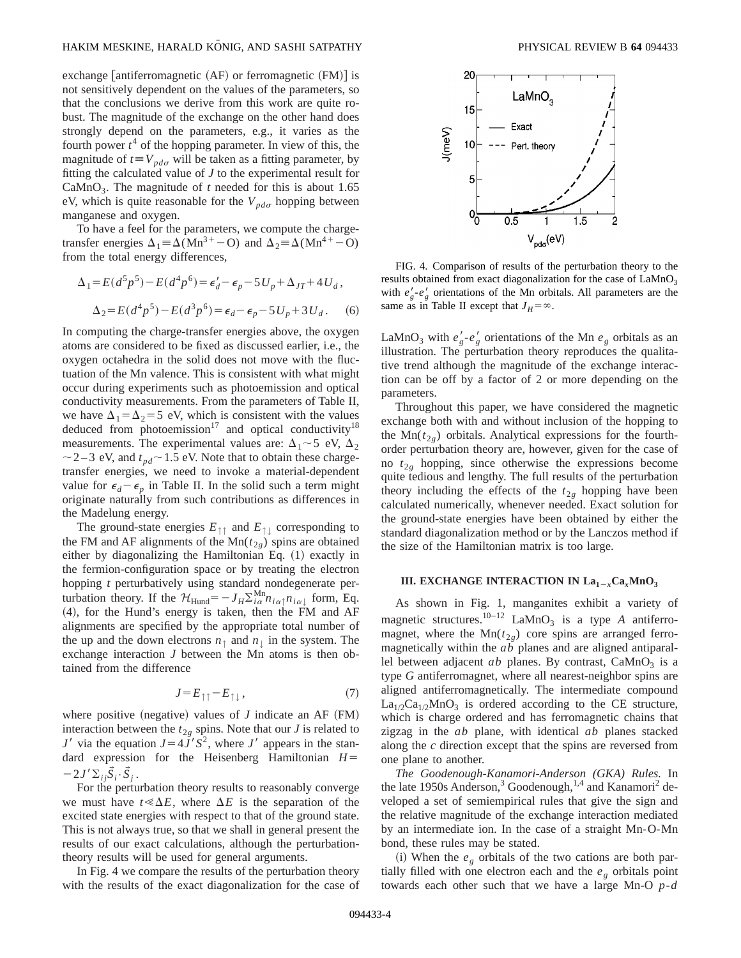exchange antiferromagnetic  $(AF)$  or ferromagnetic  $(FM)$  is not sensitively dependent on the values of the parameters, so that the conclusions we derive from this work are quite robust. The magnitude of the exchange on the other hand does strongly depend on the parameters, e.g., it varies as the fourth power  $t^4$  of the hopping parameter. In view of this, the magnitude of  $t = V_{pd\sigma}$  will be taken as a fitting parameter, by fitting the calculated value of *J* to the experimental result for CaMnO<sub>3</sub>. The magnitude of *t* needed for this is about 1.65 eV, which is quite reasonable for the  $V_{pd\sigma}$  hopping between manganese and oxygen.

To have a feel for the parameters, we compute the chargetransfer energies  $\Delta_1 \equiv \Delta(Mn^{3+}-O)$  and  $\Delta_2 \equiv \Delta(Mn^{4+}-O)$ from the total energy differences,

$$
\Delta_1 = E(d^5p^5) - E(d^4p^6) = \epsilon_d' - \epsilon_p - 5U_p + \Delta_{JT} + 4U_d,
$$
  

$$
\Delta_2 = E(d^4p^5) - E(d^3p^6) = \epsilon_d - \epsilon_p - 5U_p + 3U_d.
$$
 (6)

In computing the charge-transfer energies above, the oxygen atoms are considered to be fixed as discussed earlier, i.e., the oxygen octahedra in the solid does not move with the fluctuation of the Mn valence. This is consistent with what might occur during experiments such as photoemission and optical conductivity measurements. From the parameters of Table II, we have  $\Delta_1 = \Delta_2 = 5$  eV, which is consistent with the values deduced from photoemission<sup>17</sup> and optical conductivity<sup>18</sup> measurements. The experimental values are:  $\Delta_1 \sim 5$  eV,  $\Delta_2$  $\sim$  2–3 eV, and  $t_{pd}$  $\sim$  1.5 eV. Note that to obtain these chargetransfer energies, we need to invoke a material-dependent value for  $\epsilon_d - \epsilon_p$  in Table II. In the solid such a term might originate naturally from such contributions as differences in the Madelung energy.

The ground-state energies  $E_{\uparrow\uparrow}$  and  $E_{\uparrow\downarrow}$  corresponding to the FM and AF alignments of the  $Mn(t_{2g})$  spins are obtained either by diagonalizing the Hamiltonian Eq.  $(1)$  exactly in the fermion-configuration space or by treating the electron hopping *t* perturbatively using standard nondegenerate perturbation theory. If the  $\mathcal{H}_{\text{Hund}} = -J_H \Sigma_{i\alpha}^{\text{Mn}} n_{i\alpha} n_{i\alpha}$  form, Eq.  $(4)$ , for the Hund's energy is taken, then the FM and AF alignments are specified by the appropriate total number of the up and the down electrons  $n_{\uparrow}$  and  $n_{\downarrow}$  in the system. The exchange interaction *J* between the Mn atoms is then obtained from the difference

$$
J = E_{\uparrow\uparrow} - E_{\uparrow\downarrow},\tag{7}
$$

where positive (negative) values of  $J$  indicate an AF  $(FM)$ interaction between the  $t_{2g}$  spins. Note that our *J* is related to *J'* via the equation  $J=4J'S^2$ , where *J'* appears in the standard expression for the Heisenberg Hamiltonian  $H=$  $-2J'\Sigma_{ii}\tilde{S}_i\cdot\tilde{S}_i$ .

For the perturbation theory results to reasonably converge we must have  $t \ll \Delta E$ , where  $\Delta E$  is the separation of the excited state energies with respect to that of the ground state. This is not always true, so that we shall in general present the results of our exact calculations, although the perturbationtheory results will be used for general arguments.

In Fig. 4 we compare the results of the perturbation theory with the results of the exact diagonalization for the case of



FIG. 4. Comparison of results of the perturbation theory to the results obtained from exact diagonalization for the case of  $LaMnO<sub>3</sub>$ with  $e'_{g}$ - $e'_{g}$  orientations of the Mn orbitals. All parameters are the same as in Table II except that  $J_H = \infty$ .

LaMnO<sub>3</sub> with  $e'_g - e'_g$  orientations of the Mn  $e_g$  orbitals as an illustration. The perturbation theory reproduces the qualitative trend although the magnitude of the exchange interaction can be off by a factor of 2 or more depending on the parameters.

Throughout this paper, we have considered the magnetic exchange both with and without inclusion of the hopping to the  $Mn(t_{2g})$  orbitals. Analytical expressions for the fourthorder perturbation theory are, however, given for the case of no  $t_{2g}$  hopping, since otherwise the expressions become quite tedious and lengthy. The full results of the perturbation theory including the effects of the  $t_{2g}$  hopping have been calculated numerically, whenever needed. Exact solution for the ground-state energies have been obtained by either the standard diagonalization method or by the Lanczos method if the size of the Hamiltonian matrix is too large.

## **III. EXCHANGE INTERACTION IN**  $La_{1-r}Ca_rMnO_3$

As shown in Fig. 1, manganites exhibit a variety of magnetic structures.<sup>10–12</sup> LaMnO<sub>3</sub> is a type *A* antiferromagnet, where the  $Mn(t_{2g})$  core spins are arranged ferromagnetically within the *ab* planes and are aligned antiparallel between adjacent *ab* planes. By contrast,  $CaMnO<sub>3</sub>$  is a type *G* antiferromagnet, where all nearest-neighbor spins are aligned antiferromagnetically. The intermediate compound  $La<sub>1/2</sub>Ca<sub>1/2</sub>MnO<sub>3</sub>$  is ordered according to the CE structure, which is charge ordered and has ferromagnetic chains that zigzag in the *ab* plane, with identical *ab* planes stacked along the *c* direction except that the spins are reversed from one plane to another.

*The Goodenough-Kanamori-Anderson (GKA) Rules.* In the late 1950s Anderson,<sup>3</sup> Goodenough,<sup>1,4</sup> and Kanamori<sup>2</sup> developed a set of semiempirical rules that give the sign and the relative magnitude of the exchange interaction mediated by an intermediate ion. In the case of a straight Mn-O-Mn bond, these rules may be stated.

(i) When the  $e_g$  orbitals of the two cations are both partially filled with one electron each and the  $e<sub>g</sub>$  orbitals point towards each other such that we have a large Mn-O *p*-*d*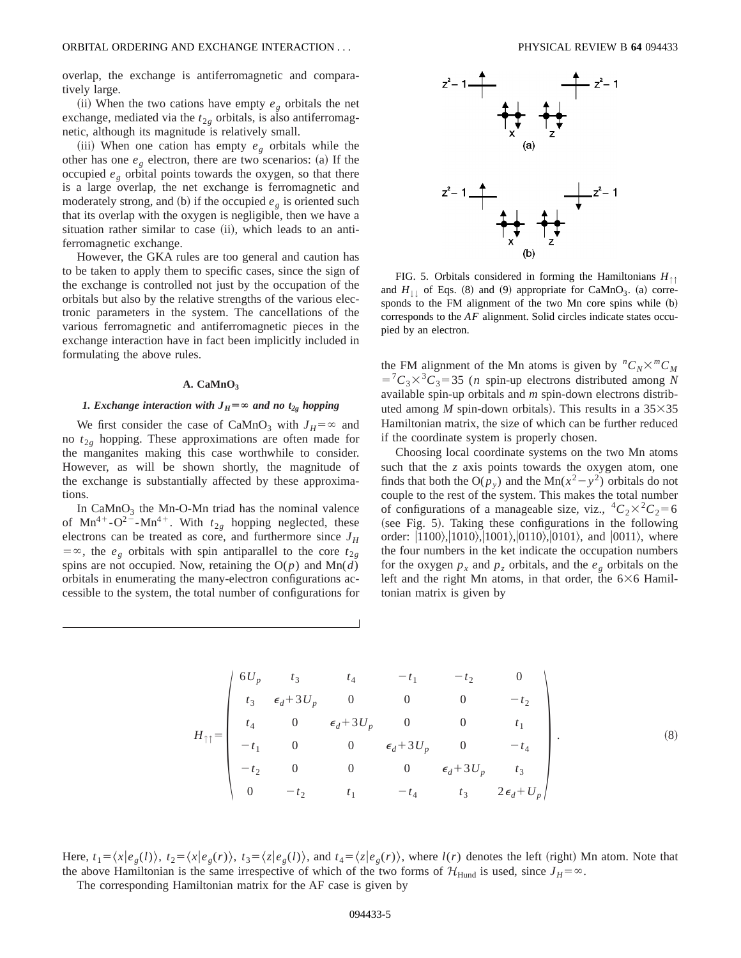overlap, the exchange is antiferromagnetic and comparatively large.

(ii) When the two cations have empty  $e_g$  orbitals the net exchange, mediated via the  $t_{2g}$  orbitals, is also antiferromagnetic, although its magnitude is relatively small.

(iii) When one cation has empty  $e_g$  orbitals while the other has one  $e_g$  electron, there are two scenarios: (a) If the occupied  $e_g$  orbital points towards the oxygen, so that there is a large overlap, the net exchange is ferromagnetic and moderately strong, and (b) if the occupied  $e_g$  is oriented such that its overlap with the oxygen is negligible, then we have a situation rather similar to case (ii), which leads to an antiferromagnetic exchange.

However, the GKA rules are too general and caution has to be taken to apply them to specific cases, since the sign of the exchange is controlled not just by the occupation of the orbitals but also by the relative strengths of the various electronic parameters in the system. The cancellations of the various ferromagnetic and antiferromagnetic pieces in the exchange interaction have in fact been implicitly included in formulating the above rules.

# A. CaMnO<sub>3</sub>

# *1. Exchange interaction with*  $J_H = \infty$  *and no t<sub>2g</sub> hopping*

We first consider the case of CaMnO<sub>3</sub> with  $J_H = \infty$  and no  $t_{2g}$  hopping. These approximations are often made for the manganites making this case worthwhile to consider. However, as will be shown shortly, the magnitude of the exchange is substantially affected by these approximations.

In  $CaMnO<sub>3</sub>$  the Mn-O-Mn triad has the nominal valence of  $Mn^{4+}-O^{2-}-Mn^{4+}$ . With  $t_{2g}$  hopping neglected, these electrons can be treated as core, and furthermore since  $J_H$  $=$   $\infty$ , the *e<sub>g</sub>* orbitals with spin antiparallel to the core  $t_{2g}$ spins are not occupied. Now, retaining the  $O(p)$  and  $Mn(d)$ orbitals in enumerating the many-electron configurations accessible to the system, the total number of configurations for



FIG. 5. Orbitals considered in forming the Hamiltonians *H*↑↑ and  $H_{\perp 1}$  of Eqs. (8) and (9) appropriate for CaMnO<sub>3</sub>. (a) corresponds to the FM alignment of the two Mn core spins while (b) corresponds to the *AF* alignment. Solid circles indicate states occupied by an electron.

the FM alignment of the Mn atoms is given by  ${}^nC_N\times {}^mC_M$  $57C_3 \times C_3 = 35$  (*n* spin-up electrons distributed among *N* available spin-up orbitals and *m* spin-down electrons distributed among *M* spin-down orbitals). This results in a  $35\times35$ Hamiltonian matrix, the size of which can be further reduced if the coordinate system is properly chosen.

Choosing local coordinate systems on the two Mn atoms such that the  $\zeta$  axis points towards the oxygen atom, one finds that both the O( $p_y$ ) and the Mn( $x^2 - y^2$ ) orbitals do not couple to the rest of the system. This makes the total number of configurations of a manageable size, viz.,  ${}^4C_2 \times {}^2C_2 = 6$ (see Fig. 5). Taking these configurations in the following order:  $|1100\rangle, |1010\rangle, |1001\rangle, |0110\rangle, |0101\rangle,$  and  $|0011\rangle,$  where the four numbers in the ket indicate the occupation numbers for the oxygen  $p_x$  and  $p_z$  orbitals, and the  $e_g$  orbitals on the left and the right Mn atoms, in that order, the  $6\times6$  Hamiltonian matrix is given by

$$
H_{\uparrow\uparrow} = \begin{pmatrix} 6U_p & t_3 & t_4 & -t_1 & -t_2 & 0 \\ t_3 & \epsilon_d + 3U_p & 0 & 0 & 0 & -t_2 \\ t_4 & 0 & \epsilon_d + 3U_p & 0 & 0 & t_1 \\ -t_1 & 0 & 0 & \epsilon_d + 3U_p & 0 & -t_4 \\ -t_2 & 0 & 0 & 0 & \epsilon_d + 3U_p & t_3 \\ 0 & -t_2 & t_1 & -t_4 & t_3 & 2\epsilon_d + U_p \end{pmatrix}.
$$
 (8)

Here,  $t_1 = \langle x | e_g(t) \rangle$ ,  $t_2 = \langle x | e_g(t) \rangle$ ,  $t_3 = \langle z | e_g(t) \rangle$ , and  $t_4 = \langle z | e_g(t) \rangle$ , where  $l(r)$  denotes the left (right) Mn atom. Note that the above Hamiltonian is the same irrespective of which of the two forms of  $\mathcal{H}_{\text{Hund}}$  is used, since  $J_H = \infty$ .

The corresponding Hamiltonian matrix for the AF case is given by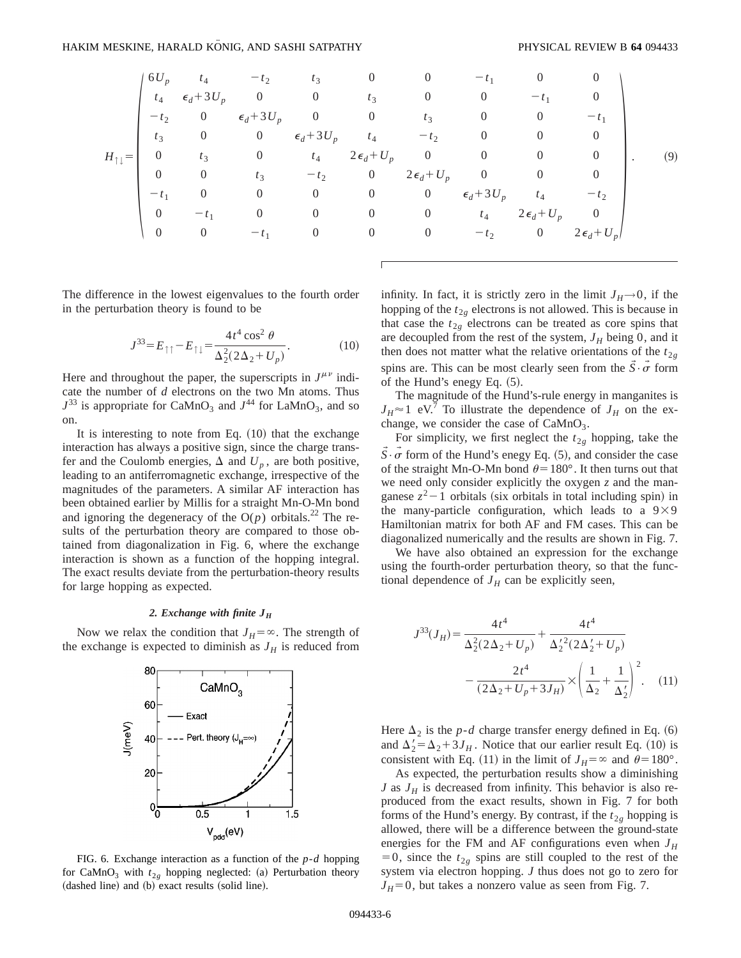|                         | $6U_p$         | $t_4$          | $-t_2$                        | $t_3$            | $\overline{0}$ | $\theta$                      | $-t_1$                |                     |                          |     |
|-------------------------|----------------|----------------|-------------------------------|------------------|----------------|-------------------------------|-----------------------|---------------------|--------------------------|-----|
|                         |                |                | $t_4$ $\epsilon_d + 3U_p$ 0 0 |                  | $t_3$          | $\overline{0}$                | $\overline{0}$        | $-t_1$              |                          |     |
|                         | $-t_{2}$       |                | 0 $\epsilon_d + 3U_p$ 0       |                  | $\overline{0}$ | $t_3$                         | $\overline{0}$        | $\overline{0}$      | $-t_1$                   |     |
|                         | $t_3$          | $\overline{0}$ | 0 $\epsilon_d + 3U_p$         |                  | $t_4$          | $-t_2$                        | $\overline{0}$        | $\overline{0}$      | $\theta$                 |     |
| $H_{\uparrow\,\vert} =$ | $\overline{0}$ | $t_3$          | $\overline{0}$                |                  |                | $t_4$ $2\epsilon_d + U_p$ 0 0 |                       | $\overline{0}$      | $\theta$                 | (9) |
|                         | $\overline{0}$ | $\overline{0}$ | $t_3$                         | $-t_2$           |                | 0 $2\epsilon_d + U_p$ 0       |                       | $\overline{0}$      | $\overline{0}$           |     |
|                         | $-t_1$         | $\overline{0}$ | $\overline{0}$                | $\overline{0}$   | $\overline{0}$ | $\overline{0}$                | $\epsilon_d$ +3 $U_p$ | $t_4$               | $-t2$                    |     |
|                         | $\overline{0}$ | $-t_1$         | $\overline{0}$                | $\overline{0}$   | $\overline{0}$ | $\overline{0}$                | $t_4$                 | $2\epsilon_d + U_p$ | $\overline{\phantom{0}}$ |     |
|                         | $\overline{0}$ | $\overline{0}$ | $-t_1$                        | $\boldsymbol{0}$ | $\overline{0}$ | $\overline{0}$                | $-t2$                 | $\overline{0}$      | $2\epsilon_d + U_p$      |     |
|                         |                |                |                               |                  |                |                               |                       |                     |                          |     |

The difference in the lowest eigenvalues to the fourth order in the perturbation theory is found to be

$$
J^{33} = E_{\uparrow\uparrow} - E_{\uparrow\downarrow} = \frac{4t^4 \cos^2 \theta}{\Delta_2^2 (2\Delta_2 + U_p)}.
$$
 (10)

Here and throughout the paper, the superscripts in  $J^{\mu\nu}$  indicate the number of *d* electrons on the two Mn atoms. Thus  $J^{33}$  is appropriate for CaMnO<sub>3</sub> and  $J^{44}$  for LaMnO<sub>3</sub>, and so on.

It is interesting to note from Eq.  $(10)$  that the exchange interaction has always a positive sign, since the charge transfer and the Coulomb energies,  $\Delta$  and  $U_p$ , are both positive, leading to an antiferromagnetic exchange, irrespective of the magnitudes of the parameters. A similar AF interaction has been obtained earlier by Millis for a straight Mn-O-Mn bond and ignoring the degeneracy of the  $O(p)$  orbitals.<sup>22</sup> The results of the perturbation theory are compared to those obtained from diagonalization in Fig. 6, where the exchange interaction is shown as a function of the hopping integral. The exact results deviate from the perturbation-theory results for large hopping as expected.

# *2. Exchange with finite JH*

Now we relax the condition that  $J_H = \infty$ . The strength of the exchange is expected to diminish as  $J_H$  is reduced from



FIG. 6. Exchange interaction as a function of the *p*-*d* hopping for CaMnO<sub>3</sub> with  $t_{2g}$  hopping neglected: (a) Perturbation theory  $(dashed line)$  and  $(b)$  exact results  $(solid line)$ .

infinity. In fact, it is strictly zero in the limit  $J_H\rightarrow 0$ , if the hopping of the  $t_{2g}$  electrons is not allowed. This is because in that case the  $t_{2g}$  electrons can be treated as core spins that are decoupled from the rest of the system,  $J_H$  being 0, and it then does not matter what the relative orientations of the  $t_{2g}$ spins are. This can be most clearly seen from the  $\overline{S} \cdot \overline{\sigma}$  form of the Hund's enegy Eq.  $(5)$ .

The magnitude of the Hund's-rule energy in manganites is  $J_H \approx 1$  eV.<sup>7</sup> To illustrate the dependence of  $J_H$  on the exchange, we consider the case of  $CaMnO<sub>3</sub>$ .

For simplicity, we first neglect the  $t_{2g}$  hopping, take the  $\overline{S} \cdot \overline{\sigma}$  form of the Hund's enegy Eq. (5), and consider the case of the straight Mn-O-Mn bond  $\theta$ =180°. It then turns out that we need only consider explicitly the oxygen *z* and the manganese  $z^2-1$  orbitals (six orbitals in total including spin) in the many-particle configuration, which leads to a  $9\times9$ Hamiltonian matrix for both AF and FM cases. This can be diagonalized numerically and the results are shown in Fig. 7.

We have also obtained an expression for the exchange using the fourth-order perturbation theory, so that the functional dependence of  $J_H$  can be explicitly seen,

$$
J^{33}(J_H) = \frac{4t^4}{\Delta_2^2(2\Delta_2 + U_p)} + \frac{4t^4}{\Delta_2^2(2\Delta_2' + U_p)} - \frac{2t^4}{(2\Delta_2 + U_p + 3J_H)} \times \left(\frac{1}{\Delta_2} + \frac{1}{\Delta_2'}\right)^2.
$$
 (11)

Here  $\Delta_2$  is the *p*-*d* charge transfer energy defined in Eq. (6) and  $\Delta_2' = \Delta_2 + 3J_H$ . Notice that our earlier result Eq. (10) is consistent with Eq. (11) in the limit of  $J_H = \infty$  and  $\theta = 180^\circ$ .

As expected, the perturbation results show a diminishing *J* as  $J_H$  is decreased from infinity. This behavior is also reproduced from the exact results, shown in Fig. 7 for both forms of the Hund's energy. By contrast, if the  $t_{2g}$  hopping is allowed, there will be a difference between the ground-state energies for the FM and AF configurations even when  $J_H$  $=0$ , since the  $t_{2g}$  spins are still coupled to the rest of the system via electron hopping. *J* thus does not go to zero for  $J_H=0$ , but takes a nonzero value as seen from Fig. 7.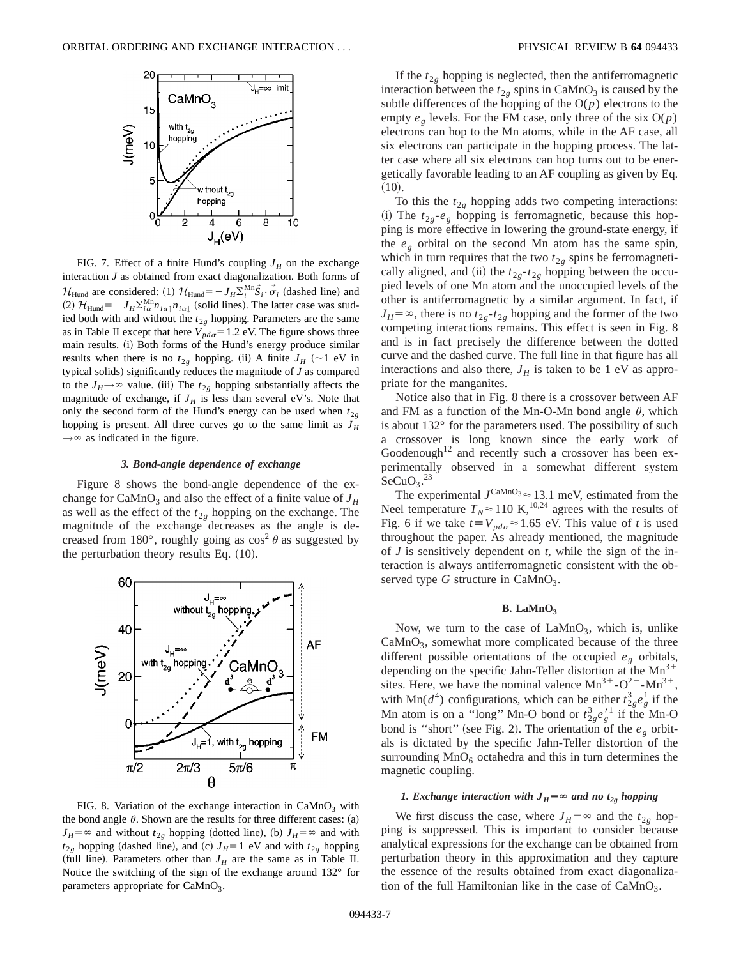

FIG. 7. Effect of a finite Hund's coupling  $J_H$  on the exchange interaction *J* as obtained from exact diagonalization. Both forms of  $\mathcal{H}_{\text{Hund}}$  are considered: (1)  $\mathcal{H}_{\text{Hund}} = -J_H \Sigma_i^{\text{Mn}} \vec{S}_i \cdot \vec{\sigma}_i$  (dashed line) and  $(2)$   $\mathcal{H}_{\text{Hund}} = -J_H \Sigma_{i\alpha}^{\text{Mn}} n_{i\alpha\uparrow} n_{i\alpha\downarrow}$  (solid lines). The latter case was studied both with and without the  $t_{2g}$  hopping. Parameters are the same as in Table II except that here  $V_{pd\sigma} = 1.2$  eV. The figure shows three main results. (i) Both forms of the Hund's energy produce similar results when there is no  $t_{2g}$  hopping. (ii) A finite  $J_H$  (~1 eV in typical solids) significantly reduces the magnitude of  $J$  as compared to the  $J_H \rightarrow \infty$  value. (iii) The  $t_{2g}$  hopping substantially affects the magnitude of exchange, if  $J_H$  is less than several eV's. Note that only the second form of the Hund's energy can be used when  $t_{2g}$ hopping is present. All three curves go to the same limit as  $J_H$  $\rightarrow \infty$  as indicated in the figure.

## *3. Bond-angle dependence of exchange*

Figure 8 shows the bond-angle dependence of the exchange for CaMnO<sub>3</sub> and also the effect of a finite value of  $J_H$ as well as the effect of the  $t_{2g}$  hopping on the exchange. The magnitude of the exchange decreases as the angle is decreased from 180°, roughly going as  $\cos^2 \theta$  as suggested by the perturbation theory results Eq.  $(10)$ .



FIG. 8. Variation of the exchange interaction in  $CaMnO<sub>3</sub>$  with the bond angle  $\theta$ . Shown are the results for three different cases: (a)  $J_H = \infty$  and without  $t_{2g}$  hopping (dotted line), (b)  $J_H = \infty$  and with  $t_{2g}$  hopping (dashed line), and (c)  $J_H$ =1 eV and with  $t_{2g}$  hopping (full line). Parameters other than  $J_H$  are the same as in Table II. Notice the switching of the sign of the exchange around 132° for parameters appropriate for  $CaMnO<sub>3</sub>$ .

If the  $t_{2g}$  hopping is neglected, then the antiferromagnetic interaction between the  $t_{2g}$  spins in CaMnO<sub>3</sub> is caused by the subtle differences of the hopping of the  $O(p)$  electrons to the empty  $e_g$  levels. For the FM case, only three of the six  $O(p)$ electrons can hop to the Mn atoms, while in the AF case, all six electrons can participate in the hopping process. The latter case where all six electrons can hop turns out to be energetically favorable leading to an AF coupling as given by Eq.  $(10).$ 

To this the  $t_{2g}$  hopping adds two competing interactions: (i) The  $t_{2g}$ - $e_g$  hopping is ferromagnetic, because this hopping is more effective in lowering the ground-state energy, if the  $e_g$  orbital on the second Mn atom has the same spin, which in turn requires that the two  $t_{2g}$  spins be ferromagnetically aligned, and (ii) the  $t_{2g} - t_{2g}$  hopping between the occupied levels of one Mn atom and the unoccupied levels of the other is antiferromagnetic by a similar argument. In fact, if  $J_H = \infty$ , there is no  $t_{2g}$ - $t_{2g}$  hopping and the former of the two competing interactions remains. This effect is seen in Fig. 8 and is in fact precisely the difference between the dotted curve and the dashed curve. The full line in that figure has all interactions and also there,  $J_H$  is taken to be 1 eV as appropriate for the manganites.

Notice also that in Fig. 8 there is a crossover between AF and FM as a function of the Mn-O-Mn bond angle  $\theta$ , which is about 132° for the parameters used. The possibility of such a crossover is long known since the early work of Goodenough<sup>12</sup> and recently such a crossover has been experimentally observed in a somewhat different system  $SecuO<sub>3</sub>$ .<sup>23</sup>

The experimental  $J^{\text{CaMnO}_3} \approx 13.1$  meV, estimated from the Neel temperature  $T_N \approx 110 \text{ K}^{10,24}$  agrees with the results of Fig. 6 if we take  $t \equiv V_{pd\sigma} \approx 1.65$  eV. This value of *t* is used throughout the paper. As already mentioned, the magnitude of *J* is sensitively dependent on *t*, while the sign of the interaction is always antiferromagnetic consistent with the observed type  $G$  structure in  $CaMnO<sub>3</sub>$ .

#### **B.** LaMnO<sub>3</sub>

Now, we turn to the case of  $\text{LaMnO}_3$ , which is, unlike  $CaMnO<sub>3</sub>$ , somewhat more complicated because of the three different possible orientations of the occupied *eg* orbitals, depending on the specific Jahn-Teller distortion at the  $Mn^{3+}$ sites. Here, we have the nominal valence  $Mn^{3+}$ -O<sup>2-</sup>-Mn<sup>3+</sup>, with Mn( $d^4$ ) configurations, which can be either  $t_{2g}^3 e_g^1$  if the Mn atom is on a "long" Mn-O bond or  $t_{2g}^3 e_g^{\prime 1}$  if the Mn-O bond is "short" (see Fig. 2). The orientation of the  $e<sub>g</sub>$  orbitals is dictated by the specific Jahn-Teller distortion of the surrounding  $MnO<sub>6</sub>$  octahedra and this in turn determines the magnetic coupling.

# *1. Exchange interaction with*  $J_H = \infty$  *and no t<sub>2g</sub> hopping*

We first discuss the case, where  $J_H = \infty$  and the  $t_{2g}$  hopping is suppressed. This is important to consider because analytical expressions for the exchange can be obtained from perturbation theory in this approximation and they capture the essence of the results obtained from exact diagonalization of the full Hamiltonian like in the case of  $CaMnO<sub>3</sub>$ .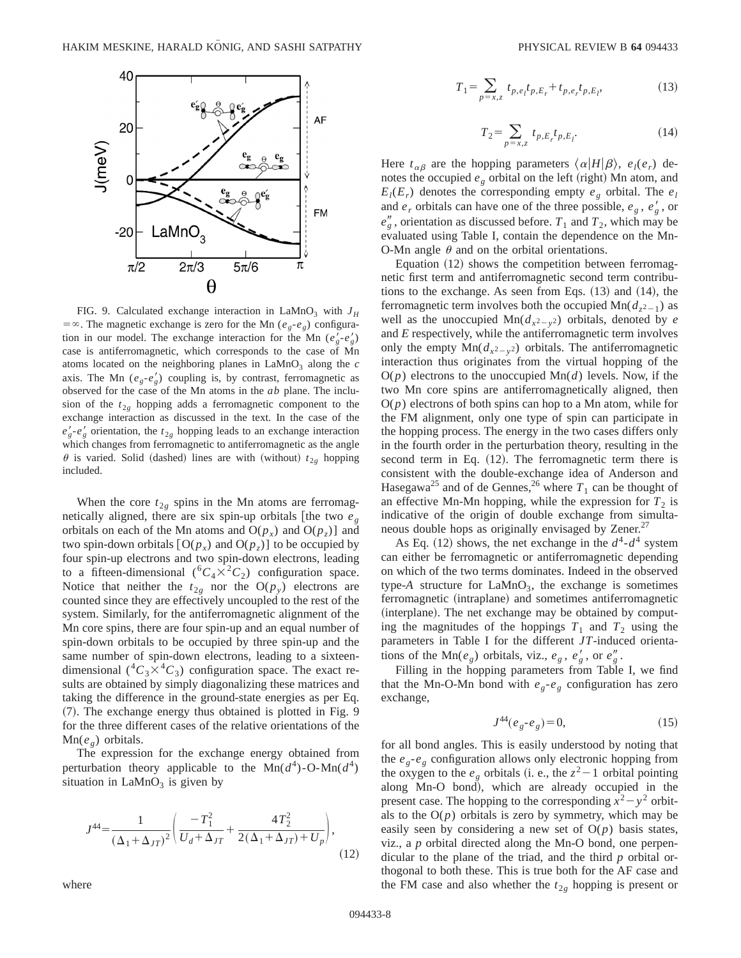

FIG. 9. Calculated exchange interaction in LaMnO<sub>3</sub> with  $J_H$  $=$   $\infty$ . The magnetic exchange is zero for the Mn (*e<sub>g</sub>-e<sub>g</sub>*) configuration in our model. The exchange interaction for the Mn  $(e_g^{\prime} - e_g^{\prime})$ case is antiferromagnetic, which corresponds to the case of Mn atoms located on the neighboring planes in  $LaMnO<sub>3</sub>$  along the  $c$ axis. The Mn  $(e_g-e'_g)$  coupling is, by contrast, ferromagnetic as observed for the case of the Mn atoms in the *ab* plane. The inclusion of the  $t_{2g}$  hopping adds a ferromagnetic component to the exchange interaction as discussed in the text. In the case of the  $e'_{g}$ - $e'_{g}$  orientation, the  $t_{2g}$  hopping leads to an exchange interaction which changes from ferromagnetic to antiferromagnetic as the angle  $\theta$  is varied. Solid (dashed) lines are with (without)  $t_{2g}$  hopping included.

When the core  $t_{2g}$  spins in the Mn atoms are ferromagnetically aligned, there are six spin-up orbitals [the two  $e_g$ orbitals on each of the Mn atoms and  $O(p_x)$  and  $O(p_z)$ ] and two spin-down orbitals  $[O(p_x)$  and  $O(p_z)]$  to be occupied by four spin-up electrons and two spin-down electrons, leading to a fifteen-dimensional  $({}^{6}C_{4}\times {}^{2}C_{2})$  configuration space. Notice that neither the  $t_{2g}$  nor the  $O(p_y)$  electrons are counted since they are effectively uncoupled to the rest of the system. Similarly, for the antiferromagnetic alignment of the Mn core spins, there are four spin-up and an equal number of spin-down orbitals to be occupied by three spin-up and the same number of spin-down electrons, leading to a sixteendimensional  $({}^{4}C_{3}\times {}^{4}C_{3})$  configuration space. The exact results are obtained by simply diagonalizing these matrices and taking the difference in the ground-state energies as per Eq. (7). The exchange energy thus obtained is plotted in Fig. 9 for the three different cases of the relative orientations of the Mn(*e<sub>g</sub>*) orbitals.

The expression for the exchange energy obtained from perturbation theory applicable to the  $Mn(d^4)$ -O-Mn( $d^4$ ) situation in  $LaMnO<sub>3</sub>$  is given by

$$
J^{44} = \frac{1}{(\Delta_1 + \Delta_{JT})^2} \left( \frac{-T_1^2}{U_d + \Delta_{JT}} + \frac{4T_2^2}{2(\Delta_1 + \Delta_{JT}) + U_p} \right),
$$
\n(12)

where

$$
T_1 = \sum_{p=x,z} t_{p,e_l} t_{p,E_r} + t_{p,e_r} t_{p,E_l},\tag{13}
$$

$$
T_2 = \sum_{p=x,z} t_{p,E_r} t_{p,E_l}.
$$
 (14)

Here  $t_{\alpha\beta}$  are the hopping parameters  $\langle \alpha | H | \beta \rangle$ ,  $e_l(e_r)$  denotes the occupied  $e_g$  orbital on the left (right) Mn atom, and  $E_l(E_r)$  denotes the corresponding empty  $e_g$  orbital. The  $e_l$ and  $e_r$  orbitals can have one of the three possible,  $e_g$ ,  $e'_g$ , or  $e''_g$ , orientation as discussed before.  $T_1$  and  $T_2$ , which may be evaluated using Table I, contain the dependence on the Mn-O-Mn angle  $\theta$  and on the orbital orientations.

Equation  $(12)$  shows the competition between ferromagnetic first term and antiferromagnetic second term contributions to the exchange. As seen from Eqs.  $(13)$  and  $(14)$ , the ferromagnetic term involves both the occupied  $\text{Mn}(d_{z^2-1})$  as well as the unoccupied  $\text{Mn}(d_{x^2-y^2})$  orbitals, denoted by *e* and *E* respectively, while the antiferromagnetic term involves only the empty  $\text{Mn}(d_{x^2-y^2})$  orbitals. The antiferromagnetic interaction thus originates from the virtual hopping of the O(*p*) electrons to the unoccupied Mn(*d*) levels. Now, if the two Mn core spins are antiferromagnetically aligned, then  $O(p)$  electrons of both spins can hop to a Mn atom, while for the FM alignment, only one type of spin can participate in the hopping process. The energy in the two cases differs only in the fourth order in the perturbation theory, resulting in the second term in Eq.  $(12)$ . The ferromagnetic term there is consistent with the double-exchange idea of Anderson and Hasegawa<sup>25</sup> and of de Gennes,<sup>26</sup> where  $T_1$  can be thought of an effective Mn-Mn hopping, while the expression for  $T_2$  is indicative of the origin of double exchange from simultaneous double hops as originally envisaged by Zener.<sup>27</sup>

As Eq. (12) shows, the net exchange in the  $d^4$ - $d^4$  system can either be ferromagnetic or antiferromagnetic depending on which of the two terms dominates. Indeed in the observed type- $A$  structure for  $LaMnO<sub>3</sub>$ , the exchange is sometimes ferromagnetic (intraplane) and sometimes antiferromagnetic (interplane). The net exchange may be obtained by computing the magnitudes of the hoppings  $T_1$  and  $T_2$  using the parameters in Table I for the different *JT*-induced orientations of the Mn( $e_g$ ) orbitals, viz.,  $e_g$ ,  $e'_g$ , or  $e''_g$ .

Filling in the hopping parameters from Table I, we find that the Mn-O-Mn bond with  $e_g - e_g$  configuration has zero exchange,

$$
J^{44}(e_g \tcdot e_g) = 0,\t\t(15)
$$

for all bond angles. This is easily understood by noting that the  $e_g$ - $e_g$  configuration allows only electronic hopping from the oxygen to the  $e_g$  orbitals (i. e., the  $z^2-1$  orbital pointing along Mn-O bond), which are already occupied in the present case. The hopping to the corresponding  $x^2 - y^2$  orbitals to the  $O(p)$  orbitals is zero by symmetry, which may be easily seen by considering a new set of  $O(p)$  basis states, viz., a *p* orbital directed along the Mn-O bond, one perpendicular to the plane of the triad, and the third *p* orbital orthogonal to both these. This is true both for the AF case and the FM case and also whether the  $t_{2g}$  hopping is present or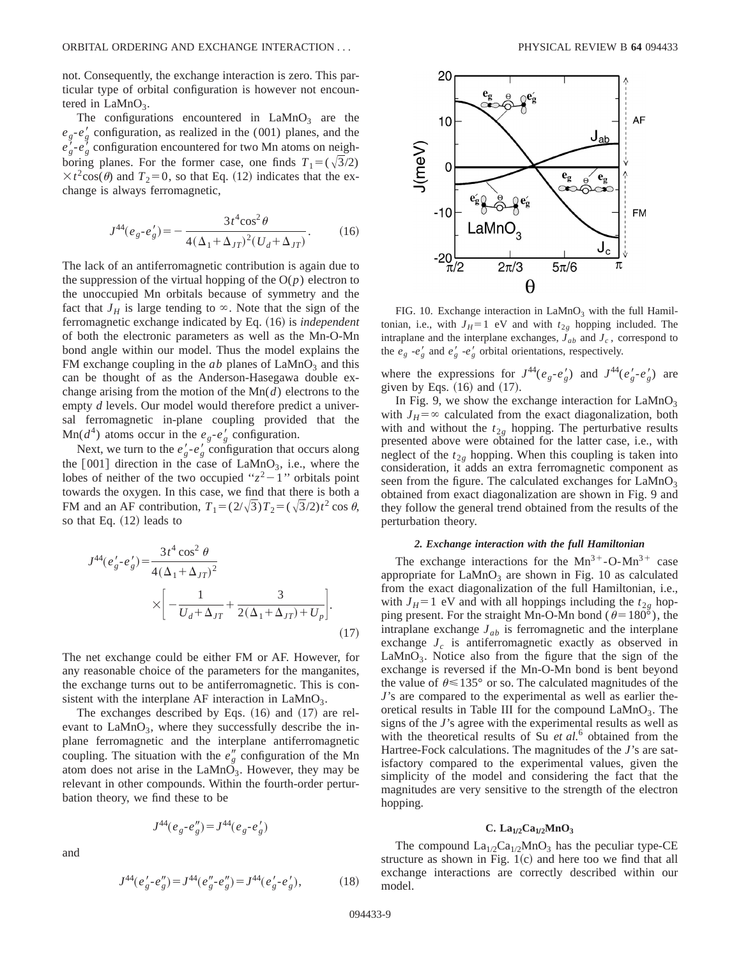not. Consequently, the exchange interaction is zero. This particular type of orbital configuration is however not encountered in  $LaMnO<sub>3</sub>$ .

The configurations encountered in  $LaMnO<sub>3</sub>$  are the  $e_g$ - $e'_g$  configuration, as realized in the (001) planes, and the  $e_g'$ - $e_g'$  configuration encountered for two Mn atoms on neighboring planes. For the former case, one finds  $T_1 = (\sqrt{3}/2)$  $\times t^2$ cos( $\theta$ ) and  $T_2=0$ , so that Eq. (12) indicates that the exchange is always ferromagnetic,

$$
J^{44}(e_g \tcdot e'_g) = -\frac{3t^4 \cos^2 \theta}{4(\Delta_1 + \Delta_{JT})^2 (U_d + \Delta_{JT})}.
$$
 (16)

The lack of an antiferromagnetic contribution is again due to the suppression of the virtual hopping of the  $O(p)$  electron to the unoccupied Mn orbitals because of symmetry and the fact that  $J_H$  is large tending to  $\infty$ . Note that the sign of the ferromagnetic exchange indicated by Eq.  $(16)$  is *independent* of both the electronic parameters as well as the Mn-O-Mn bond angle within our model. Thus the model explains the FM exchange coupling in the  $ab$  planes of  $LaMnO<sub>3</sub>$  and this can be thought of as the Anderson-Hasegawa double exchange arising from the motion of the Mn(*d*) electrons to the empty *d* levels. Our model would therefore predict a universal ferromagnetic in-plane coupling provided that the  $\text{Mn}(d^4)$  atoms occur in the  $e_g - e'_g$  configuration.

Next, we turn to the  $e'_g - e'_g$  configuration that occurs along the  $[001]$  direction in the case of LaMnO<sub>3</sub>, i.e., where the lobes of neither of the two occupied " $z^2-1$ " orbitals point towards the oxygen. In this case, we find that there is both a FM and an AF contribution,  $T_1 = (2/\sqrt{3})T_2 = (\sqrt{3}/2)t^2 \cos \theta$ , so that Eq. (12) leads to

$$
J^{44}(e'_g \tcdot e'_g) = \frac{3t^4 \cos^2 \theta}{4(\Delta_1 + \Delta_{JT})^2} \times \left[ -\frac{1}{U_d + \Delta_{JT}} + \frac{3}{2(\Delta_1 + \Delta_{JT}) + U_p} \right].
$$
\n(17)

The net exchange could be either FM or AF. However, for any reasonable choice of the parameters for the manganites, the exchange turns out to be antiferromagnetic. This is consistent with the interplane AF interaction in  $LaMnO<sub>3</sub>$ .

The exchanges described by Eqs.  $(16)$  and  $(17)$  are relevant to  $\text{LaMnO}_3$ , where they successfully describe the inplane ferromagnetic and the interplane antiferromagnetic coupling. The situation with the  $e''_g$  configuration of the Mn atom does not arise in the LaMn $\overrightarrow{O}_3$ . However, they may be relevant in other compounds. Within the fourth-order perturbation theory, we find these to be

$$
J^{44}(e_g \n- e_g'') = J^{44}(e_g \n- e_g')
$$

and

$$
J^{44}(e_g' - e_g'') = J^{44}(e_g'' - e_g'') = J^{44}(e_g' - e_g'),\tag{18}
$$



FIG. 10. Exchange interaction in  $LaMnO<sub>3</sub>$  with the full Hamiltonian, i.e., with  $J_H=1$  eV and with  $t_{2g}$  hopping included. The intraplane and the interplane exchanges,  $J_{ab}$  and  $J_c$ , correspond to the  $e_g - e'_g$  and  $e'_g - e'_g$  orbital orientations, respectively.

where the expressions for  $J^{44}(e_g - e_g')$  and  $J^{44}(e_g' - e_g')$  are given by Eqs.  $(16)$  and  $(17)$ .

In Fig. 9, we show the exchange interaction for  $LaMnO<sub>3</sub>$ with  $J_H = \infty$  calculated from the exact diagonalization, both with and without the  $t_{2g}$  hopping. The perturbative results presented above were obtained for the latter case, i.e., with neglect of the  $t_{2g}$  hopping. When this coupling is taken into consideration, it adds an extra ferromagnetic component as seen from the figure. The calculated exchanges for  $LaMnO<sub>3</sub>$ obtained from exact diagonalization are shown in Fig. 9 and they follow the general trend obtained from the results of the perturbation theory.

# *2. Exchange interaction with the full Hamiltonian*

The exchange interactions for the  $Mn^{3+}$ -O-Mn<sup>3+</sup> case appropriate for  $LaMnO<sub>3</sub>$  are shown in Fig. 10 as calculated from the exact diagonalization of the full Hamiltonian, i.e., with  $J_H=1$  eV and with all hoppings including the  $t_{2g}$  hopping present. For the straight Mn-O-Mn bond ( $\theta$ =180°), the intraplane exchange  $J_{ab}$  is ferromagnetic and the interplane exchange  $J_c$  is antiferromagnetic exactly as observed in LaMnO<sub>3</sub>. Notice also from the figure that the sign of the exchange is reversed if the Mn-O-Mn bond is bent beyond the value of  $\theta \le 135^{\circ}$  or so. The calculated magnitudes of the *J*'s are compared to the experimental as well as earlier theoretical results in Table III for the compound  $\text{LaMnO}_3$ . The signs of the *J*'s agree with the experimental results as well as with the theoretical results of Su *et al.*<sup>6</sup> obtained from the Hartree-Fock calculations. The magnitudes of the *J*'s are satisfactory compared to the experimental values, given the simplicity of the model and considering the fact that the magnitudes are very sensitive to the strength of the electron hopping.

## $C. La_{1/2}Ca_{1/2}MnO_3$

The compound  $La<sub>1/2</sub>Ca<sub>1/2</sub>MnO<sub>3</sub>$  has the peculiar type-CE structure as shown in Fig.  $1(c)$  and here too we find that all exchange interactions are correctly described within our model.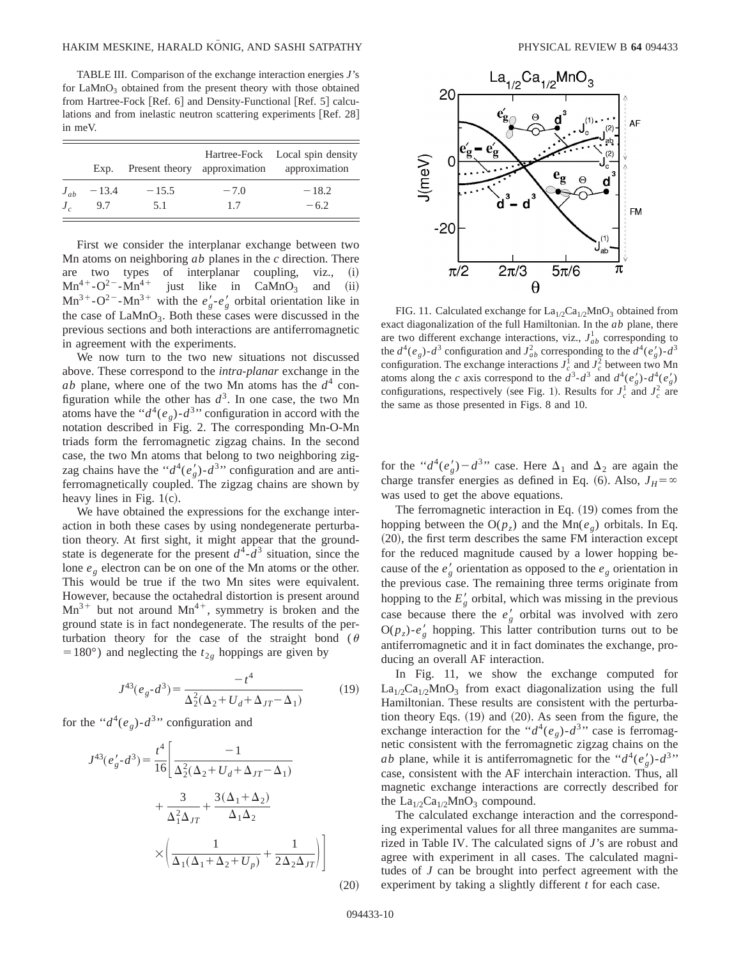TABLE III. Comparison of the exchange interaction energies *J*'s for  $LaMnO<sub>3</sub>$  obtained from the present theory with those obtained from Hartree-Fock  $[Ref. 6]$  and Density-Functional  $[Ref. 5]$  calculations and from inelastic neutron scattering experiments [Ref. 28] in meV.

|              | Exp.    |         |        | Hartree-Fock Local spin density<br>Present theory approximation approximation |
|--------------|---------|---------|--------|-------------------------------------------------------------------------------|
| $J_{ab}$     | $-13.4$ | $-15.5$ | $-7.0$ | $-18.2$                                                                       |
| $J_{\alpha}$ | 9.7     | 5.1     | 1.7    | $-6.2$                                                                        |

First we consider the interplanar exchange between two Mn atoms on neighboring *ab* planes in the *c* direction. There are two types of interplanar coupling, viz., (i)  $Mn^{4+}-O^{2-}-Mn^{4+}$  just like in CaMnO<sub>3</sub> and (ii)  $Mn^{4+}-O^{2-}-Mn^{4+}$  just like in CaMnO<sub>3</sub> and (ii)  $Mn^{3+}-O^{2-}-Mn^{3+}$  with the  $e'_{g}-e'_{g}$  orbital orientation like in the case of  $LaMnO<sub>3</sub>$ . Both these cases were discussed in the previous sections and both interactions are antiferromagnetic in agreement with the experiments.

We now turn to the two new situations not discussed above. These correspond to the *intra-planar* exchange in the *ab* plane, where one of the two Mn atoms has the  $d^4$  configuration while the other has  $d^3$ . In one case, the two Mn atoms have the " $d^4(e_g)$ - $d^3$ " configuration in accord with the notation described in Fig. 2. The corresponding Mn-O-Mn triads form the ferromagnetic zigzag chains. In the second case, the two Mn atoms that belong to two neighboring zigzag chains have the " $d^4(e'_g)$ - $d^3$ " configuration and are antiferromagnetically coupled. The zigzag chains are shown by heavy lines in Fig.  $1(c)$ .

We have obtained the expressions for the exchange interaction in both these cases by using nondegenerate perturbation theory. At first sight, it might appear that the groundstate is degenerate for the present  $d^4$ - $d^3$  situation, since the lone *eg* electron can be on one of the Mn atoms or the other. This would be true if the two Mn sites were equivalent. However, because the octahedral distortion is present around  $Mn^{3+}$  but not around  $Mn^{4+}$ , symmetry is broken and the ground state is in fact nondegenerate. The results of the perturbation theory for the case of the straight bond ( $\theta$ =180°) and neglecting the  $t_{2g}$  hoppings are given by

$$
J^{43}(e_g - d^3) = \frac{-t^4}{\Delta_2^2(\Delta_2 + U_d + \Delta_{JT} - \Delta_1)}\tag{19}
$$

for the " $d^4(e_g)$ - $d^3$ " configuration and

$$
J^{43}(e'_g - d^3) = \frac{t^4}{16} \left[ \frac{-1}{\Delta_2^2 (\Delta_2 + U_d + \Delta_{JT} - \Delta_1)} + \frac{3}{\Delta_1^2 \Delta_{JT}} + \frac{3(\Delta_1 + \Delta_2)}{\Delta_1 \Delta_2} \times \left( \frac{1}{\Delta_1 (\Delta_1 + \Delta_2 + U_p)} + \frac{1}{2\Delta_2 \Delta_{JT}} \right) \right]
$$



FIG. 11. Calculated exchange for  $La<sub>1/2</sub>Ca<sub>1/2</sub>MnO<sub>3</sub>$  obtained from exact diagonalization of the full Hamiltonian. In the *ab* plane, there are two different exchange interactions, viz.,  $J_{ab}^1$  corresponding to the  $d^4(e_g)$ - $d^3$  configuration and  $J_{ab}^2$  corresponding to the  $d^4(e'_g)$ - $d^3$ configuration. The exchange interactions  $J_c^1$  and  $J_c^2$  between two Mn atoms along the *c* axis correspond to the  $d^3$ - $d^3$  and  $d^4(e'_g)$ - $d^4(e'_g)$ configurations, respectively (see Fig. 1). Results for  $J_c^1$  and  $J_c^2$  are the same as those presented in Figs. 8 and 10.

for the " $d^4(e'_g) - d^{3}$ " case. Here  $\Delta_1$  and  $\Delta_2$  are again the charge transfer energies as defined in Eq. (6). Also,  $J_H = \infty$ was used to get the above equations.

The ferromagnetic interaction in Eq.  $(19)$  comes from the hopping between the  $O(p_z)$  and the Mn( $e_g$ ) orbitals. In Eq.  $(20)$ , the first term describes the same FM interaction except for the reduced magnitude caused by a lower hopping because of the  $e'_g$  orientation as opposed to the  $e_g$  orientation in the previous case. The remaining three terms originate from hopping to the  $E'_{g}$  orbital, which was missing in the previous case because there the  $e'_g$  orbital was involved with zero  $O(p_z)$ - $e'_g$  hopping. This latter contribution turns out to be antiferromagnetic and it in fact dominates the exchange, producing an overall AF interaction.

In Fig. 11, we show the exchange computed for  $La<sub>1/2</sub>Ca<sub>1/2</sub>MnO<sub>3</sub>$  from exact diagonalization using the full Hamiltonian. These results are consistent with the perturbation theory Eqs.  $(19)$  and  $(20)$ . As seen from the figure, the exchange interaction for the " $d^4(e_g)$ - $d^3$ " case is ferromagnetic consistent with the ferromagnetic zigzag chains on the *ab* plane, while it is antiferromagnetic for the " $d^4(e'_g)$ - $d^{3}$ " case, consistent with the AF interchain interaction. Thus, all magnetic exchange interactions are correctly described for the  $La_{1/2}Ca_{1/2}MnO_3$  compound.

The calculated exchange interaction and the corresponding experimental values for all three manganites are summarized in Table IV. The calculated signs of *J*'s are robust and agree with experiment in all cases. The calculated magnitudes of *J* can be brought into perfect agreement with the experiment by taking a slightly different *t* for each case.

 $(20)$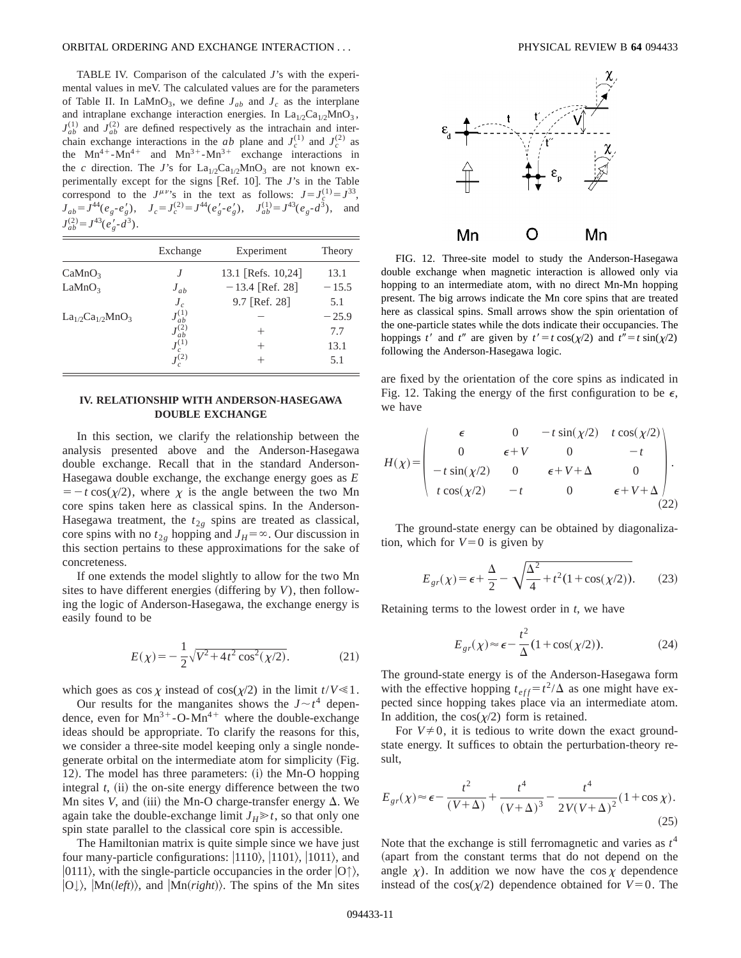## ORBITAL ORDERING AND EXCHANGE INTERACTION . . . PHYSICAL REVIEW B **64** 094433

TABLE IV. Comparison of the calculated *J*'s with the experimental values in meV. The calculated values are for the parameters of Table II. In LaMnO<sub>3</sub>, we define  $J_{ab}$  and  $J_c$  as the interplane and intraplane exchange interaction energies. In  $La<sub>1/2</sub>Ca<sub>1/2</sub>MnO<sub>3</sub>$ ,  $J_{ab}^{(1)}$  and  $J_{ab}^{(2)}$  are defined respectively as the intrachain and interchain exchange interactions in the *ab* plane and  $J_c^{(1)}$  and  $J_c^{(2)}$  as the  $Mn^{4+}-Mn^{4+}$  and  $Mn^{3+}-Mn^{3+}$  exchange interactions in the *c* direction. The *J*'s for  $La_{1/2}Ca_{1/2}MnO_3$  are not known experimentally except for the signs [Ref. 10]. The *J*'s in the Table correspond to the  $J^{\mu\nu}$ 's in the text as follows:  $J = J_c^{(1)} = J^{33}$ ,  $J_{ab} = J^{44}(e_g \cdot e_g'), \quad J_c = J_c^{(2)} = J^{44}(e_g' \cdot e_g'), \quad J_{ab}^{(1)} = J^{43}(e_g \cdot d^3), \quad \text{and}$  $J_{ab}^{(2)} = J^{43}(e_g' - d^3).$ 

|                         | Exchange       | Experiment         | Theory  |
|-------------------------|----------------|--------------------|---------|
| CaMnO <sub>3</sub>      | $\overline{J}$ | 13.1 [Refs. 10,24] | 13.1    |
| LaMnO <sub>3</sub>      | $J_{ab}$       | $-13.4$ [Ref. 28]  | $-15.5$ |
|                         | $J_c$          | 9.7 [Ref. 28]      | 5.1     |
| $La_{1/2}Ca_{1/2}MnO_3$ | $J_{ab}^{(1)}$ |                    | $-25.9$ |
|                         | $J_{ab}^{(2)}$ | $^+$               | 7.7     |
|                         | $J_c^{(1)}$    | $^{+}$             | 13.1    |
|                         | $J^{(2)}$      |                    | 5.1     |

# **IV. RELATIONSHIP WITH ANDERSON-HASEGAWA DOUBLE EXCHANGE**

In this section, we clarify the relationship between the analysis presented above and the Anderson-Hasegawa double exchange. Recall that in the standard Anderson-Hasegawa double exchange, the exchange energy goes as *E*  $=$  - t cos( $\chi$ /2), where  $\chi$  is the angle between the two Mn core spins taken here as classical spins. In the Anderson-Hasegawa treatment, the  $t_{2g}$  spins are treated as classical, core spins with no  $t_{2g}$  hopping and  $J_H = \infty$ . Our discussion in this section pertains to these approximations for the sake of concreteness.

If one extends the model slightly to allow for the two Mn sites to have different energies (differing by  $V$ ), then following the logic of Anderson-Hasegawa, the exchange energy is easily found to be

$$
E(\chi) = -\frac{1}{2}\sqrt{V^2 + 4t^2\cos^2(\chi/2)}.
$$
 (21)

which goes as  $\cos \chi$  instead of  $\cos(\chi/2)$  in the limit  $t/V \ll 1$ .

Our results for the manganites shows the  $J \sim t^4$  dependence, even for  $Mn^{3+}$ -O- $Mn^{4+}$  where the double-exchange ideas should be appropriate. To clarify the reasons for this, we consider a three-site model keeping only a single nondegenerate orbital on the intermediate atom for simplicity (Fig. 12). The model has three parameters:  $(i)$  the Mn-O hopping integral  $t$ , (ii) the on-site energy difference between the two Mn sites *V*, and (iii) the Mn-O charge-transfer energy  $\Delta$ . We again take the double-exchange limit  $J_H \gg t$ , so that only one spin state parallel to the classical core spin is accessible.

The Hamiltonian matrix is quite simple since we have just four many-particle configurations:  $|1110\rangle$ ,  $|101\rangle$ ,  $|1011\rangle$ , and  $|0111\rangle$ , with the single-particle occupancies in the order  $|0\rangle$ ,  $|O_{\psi}\rangle$ ,  $|Mn(left)\rangle$ , and  $|Mn(right)\rangle$ . The spins of the Mn sites



FIG. 12. Three-site model to study the Anderson-Hasegawa double exchange when magnetic interaction is allowed only via hopping to an intermediate atom, with no direct Mn-Mn hopping present. The big arrows indicate the Mn core spins that are treated here as classical spins. Small arrows show the spin orientation of the one-particle states while the dots indicate their occupancies. The hoppings *t'* and *t''* are given by  $t' = t \cos(\chi/2)$  and  $t'' = t \sin(\chi/2)$ following the Anderson-Hasegawa logic.

are fixed by the orientation of the core spins as indicated in Fig. 12. Taking the energy of the first configuration to be  $\epsilon$ , we have

$$
H(\chi) = \begin{pmatrix} \epsilon & 0 & -t \sin(\chi/2) & t \cos(\chi/2) \\ 0 & \epsilon + V & 0 & -t \\ -t \sin(\chi/2) & 0 & \epsilon + V + \Delta & 0 \\ t \cos(\chi/2) & -t & 0 & \epsilon + V + \Delta \end{pmatrix}.
$$
 (22)

The ground-state energy can be obtained by diagonalization, which for  $V=0$  is given by

$$
E_{gr}(\chi) = \epsilon + \frac{\Delta}{2} - \sqrt{\frac{\Delta^2}{4} + t^2 (1 + \cos(\chi/2))}.
$$
 (23)

Retaining terms to the lowest order in *t*, we have

$$
E_{gr}(\chi) \approx \epsilon - \frac{t^2}{\Delta} (1 + \cos(\chi/2)).
$$
 (24)

The ground-state energy is of the Anderson-Hasegawa form with the effective hopping  $t_{eff} = t^2/\Delta$  as one might have expected since hopping takes place via an intermediate atom. In addition, the  $cos(\chi/2)$  form is retained.

For  $V\neq 0$ , it is tedious to write down the exact groundstate energy. It suffices to obtain the perturbation-theory result,

$$
E_{gr}(\chi) \approx \epsilon - \frac{t^2}{(V+\Delta)} + \frac{t^4}{(V+\Delta)^3} - \frac{t^4}{2V(V+\Delta)^2} (1 + \cos \chi).
$$
\n(25)

Note that the exchange is still ferromagnetic and varies as *t* 4 (apart from the constant terms that do not depend on the angle  $\chi$ ). In addition we now have the cos  $\chi$  dependence instead of the  $cos(\chi/2)$  dependence obtained for  $V=0$ . The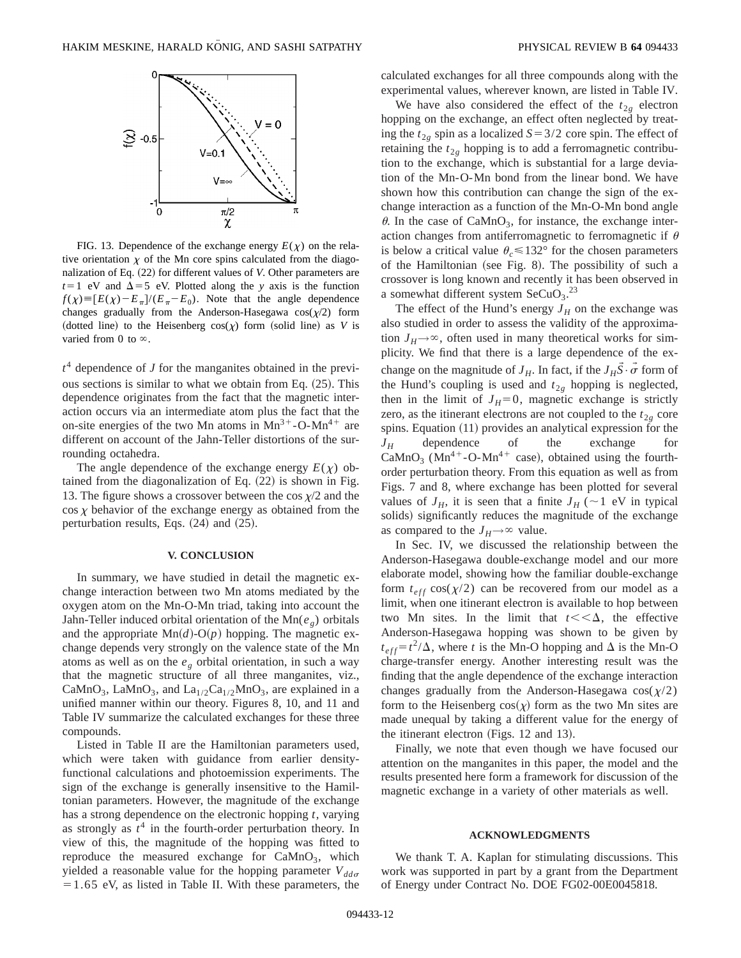

FIG. 13. Dependence of the exchange energy  $E(\chi)$  on the relative orientation  $\chi$  of the Mn core spins calculated from the diagonalization of Eq. (22) for different values of *V*. Other parameters are  $t=1$  eV and  $\Delta=5$  eV. Plotted along the *y* axis is the function  $f(\chi) \equiv [E(\chi) - E_{\pi}]/(E_{\pi} - E_0)$ . Note that the angle dependence changes gradually from the Anderson-Hasegawa  $cos(\chi/2)$  form (dotted line) to the Heisenberg  $cos(\chi)$  form (solid line) as *V* is varied from 0 to  $\infty$ .

*t* <sup>4</sup> dependence of *J* for the manganites obtained in the previous sections is similar to what we obtain from Eq.  $(25)$ . This dependence originates from the fact that the magnetic interaction occurs via an intermediate atom plus the fact that the on-site energies of the two Mn atoms in  $Mn^{3+}$ -O-Mn<sup>4+</sup> are different on account of the Jahn-Teller distortions of the surrounding octahedra.

The angle dependence of the exchange energy  $E(\chi)$  obtained from the diagonalization of Eq.  $(22)$  is shown in Fig. 13. The figure shows a crossover between the cos  $\chi/2$  and the  $\cos \chi$  behavior of the exchange energy as obtained from the perturbation results, Eqs.  $(24)$  and  $(25)$ .

### **V. CONCLUSION**

In summary, we have studied in detail the magnetic exchange interaction between two Mn atoms mediated by the oxygen atom on the Mn-O-Mn triad, taking into account the Jahn-Teller induced orbital orientation of the Mn( $e<sub>g</sub>$ ) orbitals and the appropriate  $Mn(d)-O(p)$  hopping. The magnetic exchange depends very strongly on the valence state of the Mn atoms as well as on the  $e_g$  orbital orientation, in such a way that the magnetic structure of all three manganites, viz., CaMnO<sub>3</sub>, LaMnO<sub>3</sub>, and La<sub>1/2</sub>Ca<sub>1/2</sub>MnO<sub>3</sub>, are explained in a unified manner within our theory. Figures 8, 10, and 11 and Table IV summarize the calculated exchanges for these three compounds.

Listed in Table II are the Hamiltonian parameters used, which were taken with guidance from earlier densityfunctional calculations and photoemission experiments. The sign of the exchange is generally insensitive to the Hamiltonian parameters. However, the magnitude of the exchange has a strong dependence on the electronic hopping *t*, varying as strongly as  $t^4$  in the fourth-order perturbation theory. In view of this, the magnitude of the hopping was fitted to reproduce the measured exchange for  $CaMnO<sub>3</sub>$ , which yielded a reasonable value for the hopping parameter  $V_{dd\sigma}$  $=1.65$  eV, as listed in Table II. With these parameters, the calculated exchanges for all three compounds along with the experimental values, wherever known, are listed in Table IV.

We have also considered the effect of the  $t_{2g}$  electron hopping on the exchange, an effect often neglected by treating the  $t_{2g}$  spin as a localized  $S=3/2$  core spin. The effect of retaining the  $t_{2g}$  hopping is to add a ferromagnetic contribution to the exchange, which is substantial for a large deviation of the Mn-O-Mn bond from the linear bond. We have shown how this contribution can change the sign of the exchange interaction as a function of the Mn-O-Mn bond angle  $\theta$ . In the case of CaMnO<sub>3</sub>, for instance, the exchange interaction changes from antiferromagnetic to ferromagnetic if  $\theta$ is below a critical value  $\theta_c \le 132^\circ$  for the chosen parameters of the Hamiltonian (see Fig. 8). The possibility of such a crossover is long known and recently it has been observed in a somewhat different system  $\text{SeCuO}_3$ .<sup>23</sup>

The effect of the Hund's energy  $J_H$  on the exchange was also studied in order to assess the validity of the approximation  $J_H \rightarrow \infty$ , often used in many theoretical works for simplicity. We find that there is a large dependence of the exchange on the magnitude of  $J_H$ . In fact, if the  $J_H \vec{S} \cdot \vec{\sigma}$  form of the Hund's coupling is used and  $t_{2g}$  hopping is neglected, then in the limit of  $J_H=0$ , magnetic exchange is strictly zero, as the itinerant electrons are not coupled to the  $t_{2g}$  core spins. Equation  $(11)$  provides an analytical expression for the *JH* dependence of the exchange for CaMnO<sub>3</sub> (Mn<sup>4+</sup>-O-Mn<sup>4+</sup> case), obtained using the fourthorder perturbation theory. From this equation as well as from Figs. 7 and 8, where exchange has been plotted for several values of  $J_H$ , it is seen that a finite  $J_H$  ( $\sim$ 1 eV in typical solids) significantly reduces the magnitude of the exchange as compared to the  $J_H \rightarrow \infty$  value.

In Sec. IV, we discussed the relationship between the Anderson-Hasegawa double-exchange model and our more elaborate model, showing how the familiar double-exchange form  $t_{eff}$  cos( $\chi/2$ ) can be recovered from our model as a limit, when one itinerant electron is available to hop between two Mn sites. In the limit that  $t \lt \lt \Delta$ , the effective Anderson-Hasegawa hopping was shown to be given by  $t_{eff} = t^2/\Delta$ , where *t* is the Mn-O hopping and  $\Delta$  is the Mn-O charge-transfer energy. Another interesting result was the finding that the angle dependence of the exchange interaction changes gradually from the Anderson-Hasegawa  $cos(\chi/2)$ form to the Heisenberg  $cos(\chi)$  form as the two Mn sites are made unequal by taking a different value for the energy of the itinerant electron (Figs.  $12$  and  $13$ ).

Finally, we note that even though we have focused our attention on the manganites in this paper, the model and the results presented here form a framework for discussion of the magnetic exchange in a variety of other materials as well.

## **ACKNOWLEDGMENTS**

We thank T. A. Kaplan for stimulating discussions. This work was supported in part by a grant from the Department of Energy under Contract No. DOE FG02-00E0045818.